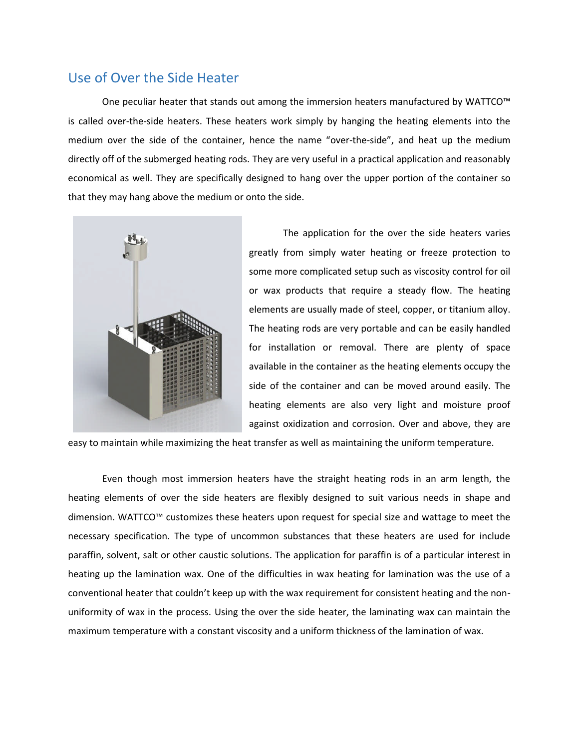## Use of Over the Side Heater

One peculiar heater that stands out among the immersion heaters manufactured by WATTCO™ is called over-the-side heaters. These heaters work simply by hanging the heating elements into the medium over the side of the container, hence the name "over-the-side", and heat up the medium directly off of the submerged heating rods. They are very useful in a practical application and reasonably economical as well. They are specifically designed to hang over the upper portion of the container so that they may hang above the medium or onto the side.



The application for the over the side heaters varies greatly from simply water heating or freeze protection to some more complicated setup such as viscosity control for oil or wax products that require a steady flow. The heating elements are usually made of steel, copper, or titanium alloy. The heating rods are very portable and can be easily handled for installation or removal. There are plenty of space available in the container as the heating elements occupy the side of the container and can be moved around easily. The heating elements are also very light and moisture proof against oxidization and corrosion. Over and above, they are

easy to maintain while maximizing the heat transfer as well as maintaining the uniform temperature.

Even though most immersion heaters have the straight heating rods in an arm length, the heating elements of over the side heaters are flexibly designed to suit various needs in shape and dimension. WATTCO™ customizes these heaters upon request for special size and wattage to meet the necessary specification. The type of uncommon substances that these heaters are used for include paraffin, solvent, salt or other caustic solutions. The application for paraffin is of a particular interest in heating up the lamination wax. One of the difficulties in wax heating for lamination was the use of a conventional heater that couldn't keep up with the wax requirement for consistent heating and the nonuniformity of wax in the process. Using the over the side heater, the laminating wax can maintain the maximum temperature with a constant viscosity and a uniform thickness of the lamination of wax.